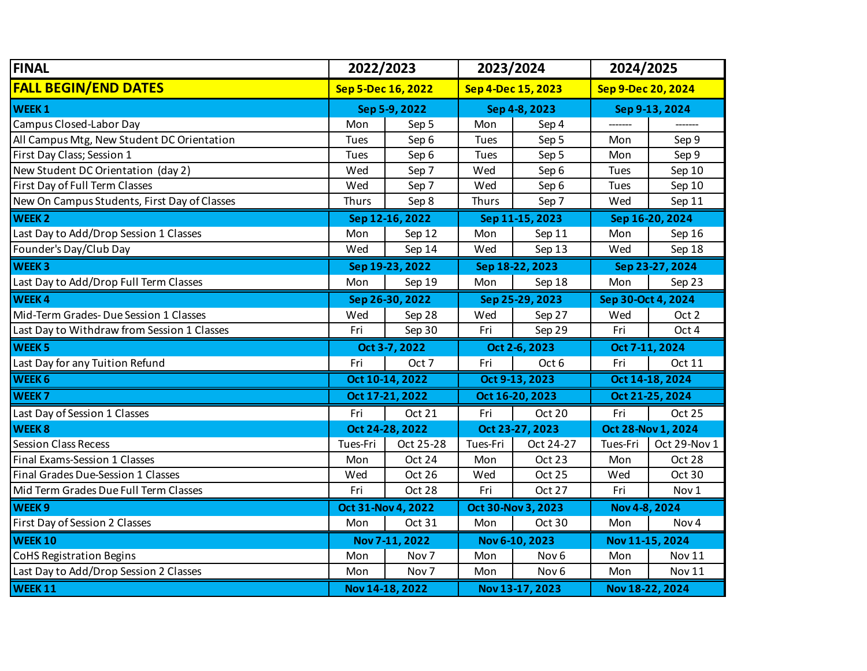| <b>FINAL</b>                                 | 2022/2023          |                  | 2023/2024          |                  | 2024/2025          |                  |  |
|----------------------------------------------|--------------------|------------------|--------------------|------------------|--------------------|------------------|--|
| <b>FALL BEGIN/END DATES</b>                  | Sep 5-Dec 16, 2022 |                  | Sep 4-Dec 15, 2023 |                  | Sep 9-Dec 20, 2024 |                  |  |
| <b>WEEK1</b>                                 | Sep 5-9, 2022      |                  | Sep 4-8, 2023      |                  | Sep 9-13, 2024     |                  |  |
| Campus Closed-Labor Day                      | Mon                | Sep 5            | Mon                | Sep 4            |                    |                  |  |
| All Campus Mtg, New Student DC Orientation   | Tues               | Sep 6            | <b>Tues</b>        | Sep 5            | Mon                | Sep 9            |  |
| First Day Class; Session 1                   | Tues               | Sep 6            | Tues               | Sep 5            | Mon                | Sep 9            |  |
| New Student DC Orientation (day 2)           | Wed                | Sep 7            | Wed                | Sep 6            | <b>Tues</b>        | Sep 10           |  |
| First Day of Full Term Classes               | Wed                | Sep 7            | Wed                | Sep 6            | Tues               | Sep 10           |  |
| New On Campus Students, First Day of Classes | Thurs              | Sep 8            | Thurs              | Sep 7            | Wed                | Sep 11           |  |
| <b>WEEK2</b>                                 | Sep 12-16, 2022    |                  | Sep 11-15, 2023    |                  | Sep 16-20, 2024    |                  |  |
| Last Day to Add/Drop Session 1 Classes       | Mon                | Sep 12           | Mon                | Sep 11           | Mon                | Sep 16           |  |
| Founder's Day/Club Day                       | Wed                | Sep 14           | Wed                | Sep 13           | Wed                | Sep 18           |  |
| <b>WEEK3</b>                                 | Sep 19-23, 2022    |                  | Sep 18-22, 2023    |                  | Sep 23-27, 2024    |                  |  |
| Last Day to Add/Drop Full Term Classes       | Mon                | Sep 19           | Mon                | Sep 18           | Mon                | Sep 23           |  |
| <b>WEEK4</b>                                 | Sep 26-30, 2022    |                  | Sep 25-29, 2023    |                  | Sep 30-Oct 4, 2024 |                  |  |
| Mid-Term Grades-Due Session 1 Classes        | Wed                | Sep 28           | Wed                | Sep 27           | Wed                | Oct 2            |  |
| Last Day to Withdraw from Session 1 Classes  | Fri                | Sep 30           | Fri                | Sep 29           | Fri                | Oct 4            |  |
| <b>WEEK 5</b>                                |                    | Oct 3-7, 2022    | Oct 2-6, 2023      |                  | Oct 7-11, 2024     |                  |  |
| Last Day for any Tuition Refund              | Fri                | Oct 7            | Fri                | Oct 6            | Fri                | Oct 11           |  |
| <b>WEEK 6</b>                                |                    | Oct 10-14, 2022  | Oct 9-13, 2023     |                  | Oct 14-18, 2024    |                  |  |
| <b>WEEK7</b>                                 |                    | Oct 17-21, 2022  | Oct 16-20, 2023    |                  | Oct 21-25, 2024    |                  |  |
| Last Day of Session 1 Classes                | Fri                | <b>Oct 21</b>    | Fri                | Oct 20           | Fri                | Oct 25           |  |
| WEEK <sub>8</sub>                            |                    | Oct 24-28, 2022  | Oct 23-27, 2023    |                  | Oct 28-Nov 1, 2024 |                  |  |
| <b>Session Class Recess</b>                  | Tues-Fri           | Oct 25-28        | Tues-Fri           | Oct 24-27        | Tues-Fri           | Oct 29-Nov 1     |  |
| Final Exams-Session 1 Classes                | Mon                | Oct 24           | Mon                | Oct 23           | Mon                | Oct 28           |  |
| Final Grades Due-Session 1 Classes           | Wed                | Oct 26           | Wed                | Oct 25           | Wed                | Oct 30           |  |
| Mid Term Grades Due Full Term Classes        | Fri                | Oct 28           | Fri                | <b>Oct 27</b>    | Fri                | Nov <sub>1</sub> |  |
| <b>WEEK9</b>                                 | Oct 31-Nov 4, 2022 |                  | Oct 30-Nov 3, 2023 |                  | Nov 4-8, 2024      |                  |  |
| First Day of Session 2 Classes               | Mon                | Oct 31           | Mon                | Oct 30           | Mon                | Nov <sub>4</sub> |  |
| <b>WEEK 10</b>                               |                    | Nov 7-11, 2022   | Nov 6-10, 2023     |                  | Nov 11-15, 2024    |                  |  |
| <b>CoHS Registration Begins</b>              | Mon                | Nov <sub>7</sub> | Mon                | Nov <sub>6</sub> | Mon                | Nov 11           |  |
| Last Day to Add/Drop Session 2 Classes       | Mon                | Nov <sub>7</sub> | Mon                | Nov <sub>6</sub> | Mon                | <b>Nov 11</b>    |  |
| <b>WEEK 11</b>                               |                    | Nov 14-18, 2022  |                    | Nov 13-17, 2023  |                    | Nov 18-22, 2024  |  |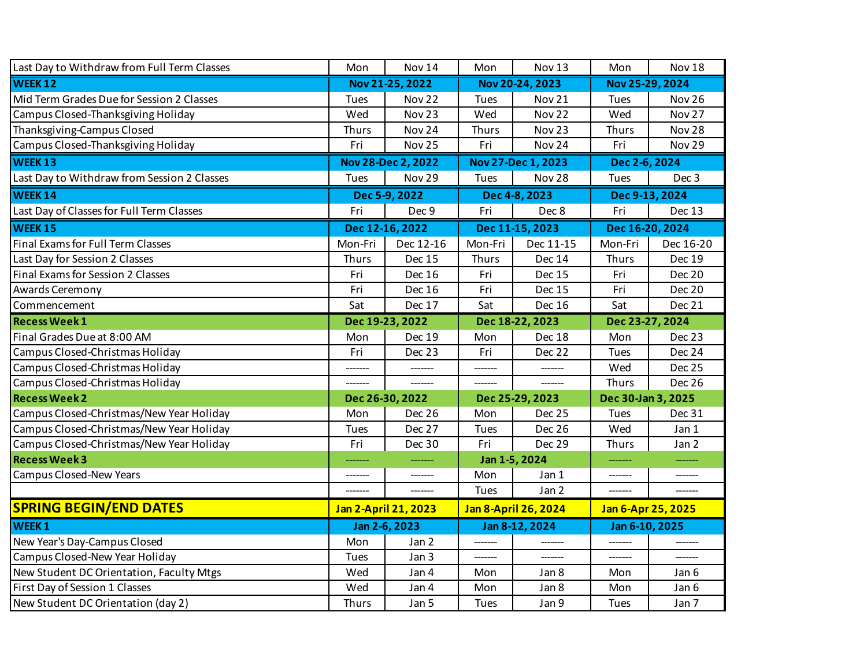| Last Day to Withdraw from Full Term Classes | Mon                                | Nov 14                          | Mon                         | Nov 13          | Mon                | Nov 18        |
|---------------------------------------------|------------------------------------|---------------------------------|-----------------------------|-----------------|--------------------|---------------|
| <b>WEEK12</b>                               | Nov 21-25, 2022                    |                                 | Nov 20-24, 2023             |                 | Nov 25-29, 2024    |               |
| Mid Term Grades Due for Session 2 Classes   | Tues                               | Nov 22                          | <b>Tues</b>                 | Nov 21          | <b>Tues</b>        | Nov 26        |
| Campus Closed-Thanksgiving Holiday          | Wed                                | Nov 23                          | Wed                         | Nov 22          | Wed                | Nov 27        |
| Thanksgiving-Campus Closed                  | Thurs                              | Nov 24                          | Thurs                       | Nov 23          | Thurs              | Nov 28        |
| Campus Closed-Thanksgiving Holiday          | Fri                                | Nov 25                          | Fri                         | Nov 24          | Fri                | Nov 29        |
| <b>WEEK 13</b>                              | Nov 28-Dec 2, 2022                 |                                 | Nov 27-Dec 1, 2023          |                 | Dec 2-6, 2024      |               |
| Last Day to Withdraw from Session 2 Classes | Tues                               | Nov 29                          | Tues                        | Nov 28          | <b>Tues</b>        | Dec 3         |
| <b>WEEK 14</b>                              | Dec 5-9, 2022                      |                                 | Dec 4-8, 2023               |                 | Dec 9-13, 2024     |               |
| Last Day of Classes for Full Term Classes   | Fri                                | Dec 9                           | Fri                         | Dec 8           | Fri                | <b>Dec 13</b> |
| <b>WEEK 15</b>                              | Dec 12-16, 2022<br>Dec 11-15, 2023 |                                 | Dec 16-20, 2024             |                 |                    |               |
| <b>Final Exams for Full Term Classes</b>    | Mon-Fri                            | Dec 12-16                       | Mon-Fri                     | Dec 11-15       | Mon-Fri            | Dec 16-20     |
| Last Day for Session 2 Classes              | Thurs                              | <b>Dec 15</b>                   | Thurs                       | <b>Dec 14</b>   | Thurs              | <b>Dec 19</b> |
| Final Exams for Session 2 Classes           | Fri                                | Dec 16                          | Fri                         | <b>Dec 15</b>   | Fri                | <b>Dec 20</b> |
| Awards Ceremony                             | Fri                                | Dec 16                          | Fri                         | <b>Dec 15</b>   | Fri                | <b>Dec 20</b> |
| Commencement                                | Sat                                | <b>Dec 17</b>                   | Sat                         | <b>Dec 16</b>   | Sat                | <b>Dec 21</b> |
| <b>Recess Week 1</b>                        | Dec 19-23, 2022                    |                                 | Dec 18-22, 2023             |                 | Dec 23-27, 2024    |               |
| Final Grades Due at 8:00 AM                 | Mon                                | <b>Dec 19</b>                   | Mon                         | <b>Dec 18</b>   | Mon                | Dec 23        |
| Campus Closed-Christmas Holiday             | Fri                                | <b>Dec 23</b>                   | Fri                         | Dec 22          | Tues               | Dec 24        |
| Campus Closed-Christmas Holiday             | -------                            |                                 | -------                     |                 | Wed                | <b>Dec 25</b> |
| Campus Closed-Christmas Holiday             |                                    |                                 | -------                     |                 | Thurs              | <b>Dec 26</b> |
| <b>Recess Week 2</b>                        |                                    | Dec 26-30, 2022                 |                             | Dec 25-29, 2023 | Dec 30-Jan 3, 2025 |               |
| Campus Closed-Christmas/New Year Holiday    | Mon                                | <b>Dec 26</b>                   | Mon                         | <b>Dec 25</b>   | <b>Tues</b>        | Dec 31        |
| Campus Closed-Christmas/New Year Holiday    | Tues                               | Dec 27                          | Tues                        | <b>Dec 26</b>   | Wed                | Jan 1         |
| Campus Closed-Christmas/New Year Holiday    | Fri                                | Dec 30                          | Fri                         | Dec 29          | Thurs              | Jan 2         |
| <b>Recess Week 3</b>                        |                                    |                                 | Jan 1-5, 2024               |                 |                    | -------       |
| <b>Campus Closed-New Years</b>              |                                    | --------                        | Mon                         | Jan 1           | -------            | -------       |
|                                             |                                    | --------                        | Tues                        | Jan 2           | -------            | -------       |
| <b>SPRING BEGIN/END DATES</b>               | <b>Jan 2-April 21, 2023</b>        |                                 | <b>Jan 8-April 26, 2024</b> |                 | Jan 6-Apr 25, 2025 |               |
| <b>WEEK1</b>                                |                                    | Jan 2-6, 2023<br>Jan 8-12, 2024 |                             |                 | Jan 6-10, 2025     |               |
| New Year's Day-Campus Closed                | Mon                                | Jan 2                           | -------                     |                 | -------            |               |
| Campus Closed-New Year Holiday              | Tues                               | Jan 3                           | -------                     |                 | -------            |               |
| New Student DC Orientation, Faculty Mtgs    | Wed                                | Jan 4                           | Mon                         | Jan 8           | Mon                | Jan 6         |
| First Day of Session 1 Classes              | Wed                                | Jan 4                           | Mon                         | Jan 8           | Mon                | Jan 6         |
| New Student DC Orientation (day 2)          | Thurs                              | Jan 5                           | Tues                        | Jan 9           | Tues               | Jan 7         |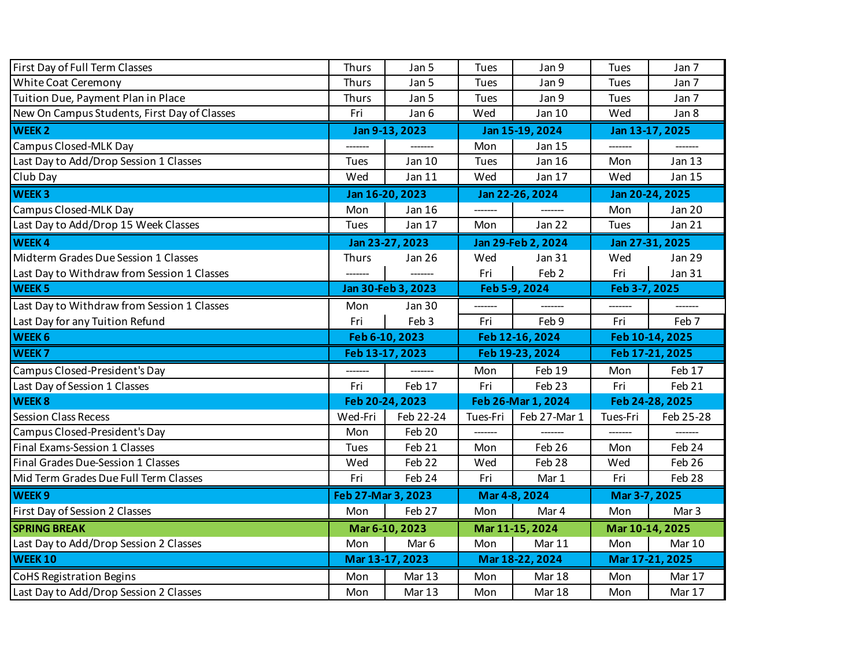| First Day of Full Term Classes               | Thurs              | Jan 5            | Tues               | Jan 9              | Tues            | Jan 7            |
|----------------------------------------------|--------------------|------------------|--------------------|--------------------|-----------------|------------------|
| White Coat Ceremony                          | Thurs              | Jan 5            | Tues               | Jan 9              | Tues            | Jan 7            |
| Tuition Due, Payment Plan in Place           | Thurs              | Jan 5            | Tues               | Jan 9              | Tues            | Jan 7            |
| New On Campus Students, First Day of Classes | Fri                | Jan 6            | Wed                | Jan 10             | Wed             | Jan 8            |
| WEEK <sub>2</sub>                            | Jan 9-13, 2023     |                  | Jan 15-19, 2024    |                    | Jan 13-17, 2025 |                  |
| Campus Closed-MLK Day                        | -------            |                  | Mon                | Jan 15             | -------         |                  |
| Last Day to Add/Drop Session 1 Classes       | Tues               | Jan 10           | Tues               | Jan 16             | Mon             | Jan 13           |
| Club Day                                     | Wed                | Jan 11           | Wed                | Jan 17             | Wed             | Jan 15           |
| <b>WEEK3</b>                                 | Jan 16-20, 2023    |                  | Jan 22-26, 2024    |                    | Jan 20-24, 2025 |                  |
| Campus Closed-MLK Day                        | Mon                | Jan 16           |                    |                    | Mon             | <b>Jan 20</b>    |
| Last Day to Add/Drop 15 Week Classes         | Tues               | Jan 17           | Mon                | Jan 22             | Tues            | Jan 21           |
| WEEK4                                        | Jan 23-27, 2023    |                  | Jan 29-Feb 2, 2024 |                    | Jan 27-31, 2025 |                  |
| Midterm Grades Due Session 1 Classes         | Thurs              | <b>Jan 26</b>    | Wed                | Jan $31$           | Wed             | <b>Jan 29</b>    |
| Last Day to Withdraw from Session 1 Classes  |                    | --------         | Fri                | Feb <sub>2</sub>   | Fri             | <b>Jan 31</b>    |
| <b>WEEK 5</b>                                | Jan 30-Feb 3, 2023 |                  | Feb 5-9, 2024      |                    | Feb 3-7, 2025   |                  |
| Last Day to Withdraw from Session 1 Classes  | Mon                | <b>Jan 30</b>    |                    |                    |                 |                  |
| Last Day for any Tuition Refund              | Fri                | Feb 3            | Fri                | Feb 9              | Fri             | Feb 7            |
|                                              |                    |                  |                    |                    |                 |                  |
| <b>WEEK 6</b>                                |                    | Feb 6-10, 2023   |                    | Feb 12-16, 2024    |                 | Feb 10-14, 2025  |
| WEEK <sub>7</sub>                            |                    | Feb 13-17, 2023  |                    | Feb 19-23, 2024    |                 | Feb 17-21, 2025  |
| Campus Closed-President's Day                |                    |                  | Mon                | Feb 19             | Mon             | Feb 17           |
| Last Day of Session 1 Classes                | Fri                | Feb 17           | Fri                | Feb 23             | Fri             | Feb 21           |
| WEEK <sub>8</sub>                            |                    | Feb 20-24, 2023  |                    | Feb 26-Mar 1, 2024 |                 | Feb 24-28, 2025  |
| <b>Session Class Recess</b>                  | Wed-Fri            | Feb 22-24        | Tues-Fri           | Feb 27-Mar 1       | Tues-Fri        | Feb 25-28        |
| Campus Closed-President's Day                | Mon                | Feb 20           |                    |                    |                 |                  |
| Final Exams-Session 1 Classes                | Tues               | Feb 21           | Mon                | Feb 26             | Mon             | Feb 24           |
| Final Grades Due-Session 1 Classes           | Wed                | Feb 22           | Wed                | Feb 28             | Wed             | Feb 26           |
| Mid Term Grades Due Full Term Classes        | Fri                | Feb 24           | Fri                | Mar 1              | Fri             | Feb 28           |
| WEEK <sub>9</sub>                            | Feb 27-Mar 3, 2023 |                  |                    | Mar 4-8, 2024      | Mar 3-7, 2025   |                  |
| First Day of Session 2 Classes               | Mon                | Feb 27           | Mon                | Mar 4              | Mon             | Mar <sub>3</sub> |
| <b>SPRING BREAK</b>                          |                    | Mar 6-10, 2023   |                    | Mar 11-15, 2024    | Mar 10-14, 2025 |                  |
| Last Day to Add/Drop Session 2 Classes       | Mon                | Mar <sub>6</sub> | Mon                | Mar 11             | Mon             | <b>Mar 10</b>    |
| <b>WEEK 10</b>                               |                    | Mar 13-17, 2023  |                    | Mar 18-22, 2024    |                 | Mar 17-21, 2025  |
| <b>CoHS Registration Begins</b>              | Mon                | Mar 13           | Mon                | Mar 18             | Mon             | Mar 17           |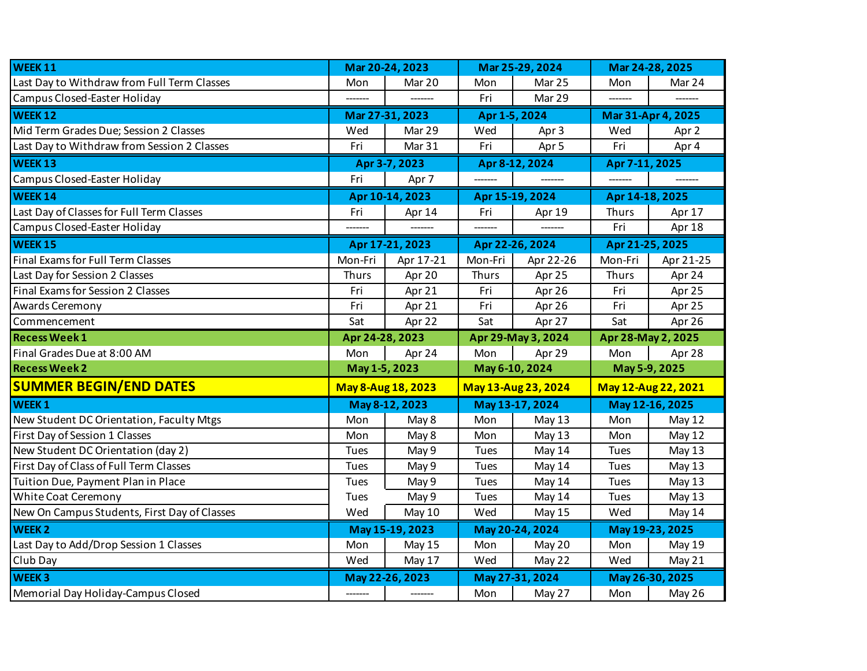| <b>WEEK 11</b>                               | Mar 20-24, 2023 |                           | Mar 25-29, 2024 |                     | Mar 24-28, 2025    |                     |
|----------------------------------------------|-----------------|---------------------------|-----------------|---------------------|--------------------|---------------------|
| Last Day to Withdraw from Full Term Classes  | Mon             | Mar 20                    | Mon             | Mar 25              | Mon                | Mar 24              |
| Campus Closed-Easter Holiday                 |                 |                           | Fri             | Mar 29              | -------            |                     |
| <b>WEEK 12</b>                               | Mar 27-31, 2023 |                           | Apr 1-5, 2024   |                     | Mar 31-Apr 4, 2025 |                     |
| Mid Term Grades Due; Session 2 Classes       | Wed             | Mar 29                    | Wed             | Apr 3               | Wed                | Apr 2               |
| Last Day to Withdraw from Session 2 Classes  | Fri             | Mar 31                    | Fri             | Apr <sub>5</sub>    | Fri                | Apr 4               |
| <b>WEEK13</b>                                | Apr 3-7, 2023   |                           | Apr 8-12, 2024  |                     | Apr 7-11, 2025     |                     |
| Campus Closed-Easter Holiday                 | Fri             | Apr 7                     | -------         |                     | -------            |                     |
| WEEK 14                                      | Apr 10-14, 2023 |                           | Apr 15-19, 2024 |                     | Apr 14-18, 2025    |                     |
| Last Day of Classes for Full Term Classes    | Fri             | Apr 14                    | Fri             | Apr 19              | Thurs              | Apr 17              |
| Campus Closed-Easter Holiday                 |                 |                           |                 |                     | Fri                | Apr 18              |
| <b>WEEK 15</b>                               | Apr 17-21, 2023 |                           | Apr 22-26, 2024 |                     | Apr 21-25, 2025    |                     |
| Final Exams for Full Term Classes            | Mon-Fri         | Apr 17-21                 | Mon-Fri         | Apr 22-26           | Mon-Fri            | Apr 21-25           |
| Last Day for Session 2 Classes               | Thurs           | Apr 20                    | Thurs           | Apr 25              | Thurs              | Apr 24              |
| Final Exams for Session 2 Classes            | Fri             | Apr 21                    | Fri             | Apr 26              | Fri                | Apr 25              |
| Awards Ceremony                              | Fri             | Apr 21                    | Fri             | Apr 26              | Fri                | Apr 25              |
| Commencement                                 | Sat             | Apr 22                    | Sat             | Apr 27              | Sat                | Apr 26              |
|                                              |                 |                           |                 |                     |                    |                     |
| <b>Recess Week 1</b>                         | Apr 24-28, 2023 |                           |                 | Apr 29-May 3, 2024  |                    | Apr 28-May 2, 2025  |
| Final Grades Due at 8:00 AM                  | Mon             | Apr 24                    | Mon             | Apr 29              | Mon                | Apr 28              |
| <b>Recess Week 2</b>                         | May 1-5, 2023   |                           | May 6-10, 2024  |                     | May 5-9, 2025      |                     |
| <b>SUMMER BEGIN/END DATES</b>                |                 | <b>May 8-Aug 18, 2023</b> |                 | May 13-Aug 23, 2024 |                    | May 12-Aug 22, 2021 |
| <b>WEEK1</b>                                 |                 | May 8-12, 2023            |                 | May 13-17, 2024     |                    | May 12-16, 2025     |
| New Student DC Orientation, Faculty Mtgs     | Mon             | May 8                     | Mon             | May 13              | Mon                | May 12              |
| First Day of Session 1 Classes               | Mon             | May 8                     | Mon             | May 13              | Mon                | May 12              |
| New Student DC Orientation (day 2)           | Tues            | May 9                     | Tues            | May 14              | Tues               | May 13              |
| First Day of Class of Full Term Classes      | Tues            | May 9                     | Tues            | May 14              | Tues               | May 13              |
| Tuition Due, Payment Plan in Place           | Tues            | May 9                     | Tues            | May 14              | Tues               | May 13              |
| White Coat Ceremony                          | Tues            | May 9                     | Tues            | May 14              | Tues               | May 13              |
| New On Campus Students, First Day of Classes | Wed             | May 10                    | Wed             | May 15              | Wed                | May 14              |
| <b>WEEK2</b>                                 |                 | May 15-19, 2023           |                 | May 20-24, 2024     |                    | May 19-23, 2025     |
| Last Day to Add/Drop Session 1 Classes       | Mon             | <b>May 15</b>             | Mon             | May 20              | Mon                | May 19              |
| Club Day                                     | Wed             | May 17                    | Wed             | May 22              | Wed                | May 21              |
| <b>WEEK3</b>                                 |                 | May 22-26, 2023           |                 | May 27-31, 2024     |                    | May 26-30, 2025     |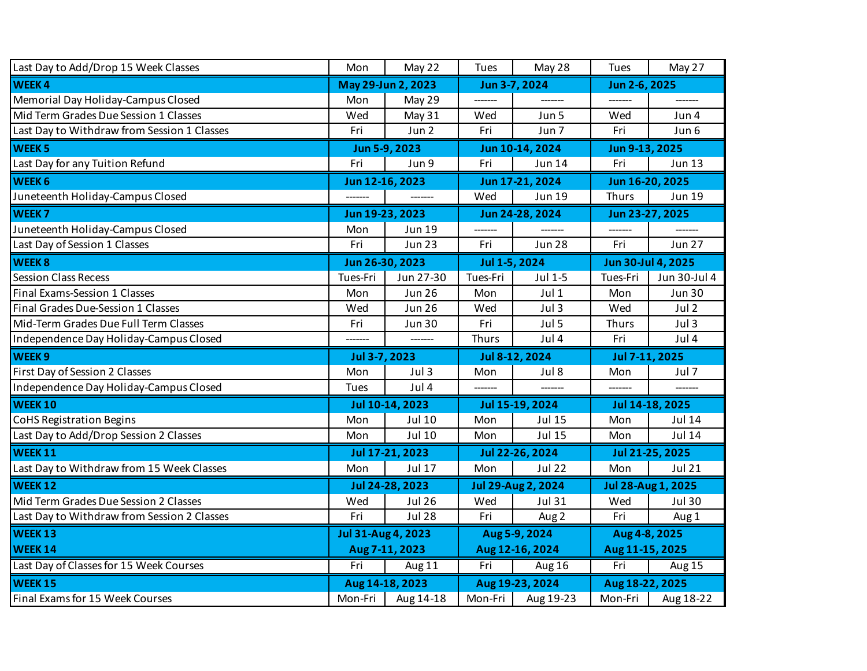| Last Day to Add/Drop 15 Week Classes        | Mon                | May 22          | Tues            | May 28             | Tues               | May 27             |  |
|---------------------------------------------|--------------------|-----------------|-----------------|--------------------|--------------------|--------------------|--|
| <b>WEEK4</b>                                | May 29-Jun 2, 2023 |                 | Jun 3-7, 2024   |                    | Jun 2-6, 2025      |                    |  |
| Memorial Day Holiday-Campus Closed          | Mon                | May 29          |                 |                    |                    |                    |  |
| Mid Term Grades Due Session 1 Classes       | Wed                | May 31          | Wed             | Jun 5              | Wed                | Jun 4              |  |
| Last Day to Withdraw from Session 1 Classes | Fri                | Jun 2           | Fri             | Jun 7              | Fri                | Jun 6              |  |
| <b>WEEK 5</b>                               |                    | Jun 5-9, 2023   | Jun 10-14, 2024 |                    | Jun 9-13, 2025     |                    |  |
| Last Day for any Tuition Refund             | Fri                | Jun 9           | Fri             | <b>Jun 14</b>      | Fri                | <b>Jun 13</b>      |  |
| <b>WEEK 6</b>                               | Jun 12-16, 2023    |                 | Jun 17-21, 2024 |                    | Jun 16-20, 2025    |                    |  |
| Juneteenth Holiday-Campus Closed            |                    |                 | Wed             | <b>Jun 19</b>      | <b>Thurs</b>       | <b>Jun 19</b>      |  |
| <b>WEEK7</b>                                | Jun 19-23, 2023    |                 | Jun 24-28, 2024 |                    | Jun 23-27, 2025    |                    |  |
| Juneteenth Holiday-Campus Closed            | Mon                | <b>Jun 19</b>   | ------          |                    | -------            |                    |  |
| Last Day of Session 1 Classes               | Fri                | <b>Jun 23</b>   | Fri             | <b>Jun 28</b>      | Fri                | <b>Jun 27</b>      |  |
| WEEK <sub>8</sub>                           | Jun 26-30, 2023    |                 | Jul 1-5, 2024   |                    | Jun 30-Jul 4, 2025 |                    |  |
| <b>Session Class Recess</b>                 | Tues-Fri           | Jun 27-30       | Tues-Fri        | Jul 1-5            | Tues-Fri           | Jun 30-Jul 4       |  |
| Final Exams-Session 1 Classes               | Mon                | <b>Jun 26</b>   | Mon             | Jul 1              | Mon                | <b>Jun 30</b>      |  |
| Final Grades Due-Session 1 Classes          | Wed                | <b>Jun 26</b>   | Wed             | Jul 3              | Wed                | Jul 2              |  |
| Mid-Term Grades Due Full Term Classes       | Fri                | <b>Jun 30</b>   | Fri             | Jul 5              | <b>Thurs</b>       | Jul <sub>3</sub>   |  |
| Independence Day Holiday-Campus Closed      |                    |                 | Thurs           | Jul 4              | Fri                | Jul 4              |  |
| WEEK <sub>9</sub>                           | Jul 3-7, 2023      |                 | Jul 8-12, 2024  |                    | Jul 7-11, 2025     |                    |  |
| First Day of Session 2 Classes              | Mon                | Jul 3           | Mon             | Jul 8              | Mon                | Jul 7              |  |
| Independence Day Holiday-Campus Closed      | Tues               | Jul 4           |                 |                    |                    |                    |  |
| <b>WEEK 10</b>                              |                    | Jul 10-14, 2023 |                 | Jul 15-19, 2024    |                    | Jul 14-18, 2025    |  |
| <b>CoHS Registration Begins</b>             | Mon                | Jul 10          | Mon             | <b>Jul 15</b>      | Mon                | Jul 14             |  |
| Last Day to Add/Drop Session 2 Classes      | Mon                | Jul 10          | Mon             | <b>Jul 15</b>      | Mon                | <b>Jul 14</b>      |  |
| <b>WEEK 11</b>                              | Jul 17-21, 2023    |                 | Jul 22-26, 2024 |                    | Jul 21-25, 2025    |                    |  |
| Last Day to Withdraw from 15 Week Classes   | Mon                | <b>Jul 17</b>   | Mon             | <b>Jul 22</b>      | Mon                | <b>Jul 21</b>      |  |
| <b>WEEK 12</b>                              |                    | Jul 24-28, 2023 |                 | Jul 29-Aug 2, 2024 |                    | Jul 28-Aug 1, 2025 |  |
| Mid Term Grades Due Session 2 Classes       | Wed                | <b>Jul 26</b>   | Wed             | <b>Jul 31</b>      | Wed                | <b>Jul 30</b>      |  |
| Last Day to Withdraw from Session 2 Classes | Fri                | <b>Jul 28</b>   | Fri             | Aug 2              | Fri                | Aug 1              |  |
| <b>WEEK 13</b>                              | Jul 31-Aug 4, 2023 |                 | Aug 5-9, 2024   |                    | Aug 4-8, 2025      |                    |  |
| <b>WEEK14</b>                               |                    | Aug 7-11, 2023  |                 | Aug 12-16, 2024    | Aug 11-15, 2025    |                    |  |
| Last Day of Classes for 15 Week Courses     | Fri                | Aug 11          | Fri             | Aug 16             | Fri                | Aug 15             |  |
| <b>WEEK 15</b>                              |                    | Aug 14-18, 2023 |                 | Aug 19-23, 2024    | Aug 18-22, 2025    |                    |  |
| Final Exams for 15 Week Courses             | Mon-Fri            | Aug 14-18       | Mon-Fri         | Aug 19-23          | Mon-Fri            | Aug 18-22          |  |